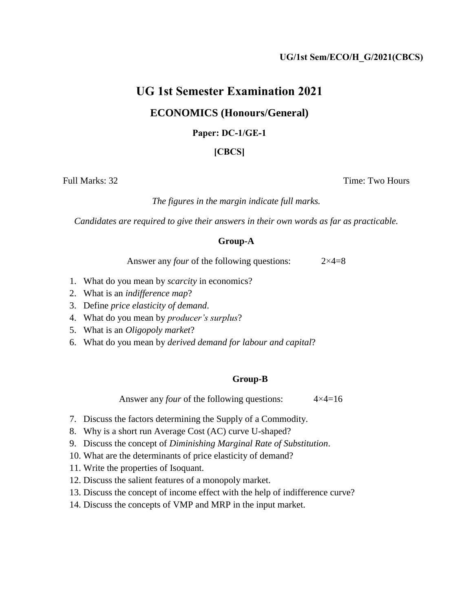## **UG 1st Semester Examination 2021**

### **ECONOMICS (Honours/General)**

#### **Paper: DC-1/GE-1**

### **[CBCS]**

Full Marks: 32 Time: Two Hours

*The figures in the margin indicate full marks.* 

*Candidates are required to give their answers in their own words as far as practicable.* 

#### **Group-A**

Answer any *four* of the following questions:  $2 \times 4=8$ 

- 1. What do you mean by *scarcity* in economics?
- 2. What is an *indifference map*?
- 3. Define *price elasticity of demand*.
- 4. What do you mean by *producer's surplus*?
- 5. What is an *Oligopoly market*?
- 6. What do you mean by *derived demand for labour and capital*?

#### **Group-B**

Answer any *four* of the following questions:  $4 \times 4 = 16$ 

- 7. Discuss the factors determining the Supply of a Commodity.
- 8. Why is a short run Average Cost (AC) curve U-shaped?
- 9. Discuss the concept of *Diminishing Marginal Rate of Substitution*.
- 10. What are the determinants of price elasticity of demand?
- 11. Write the properties of Isoquant.
- 12. Discuss the salient features of a monopoly market.
- 13. Discuss the concept of income effect with the help of indifference curve?
- 14. Discuss the concepts of VMP and MRP in the input market.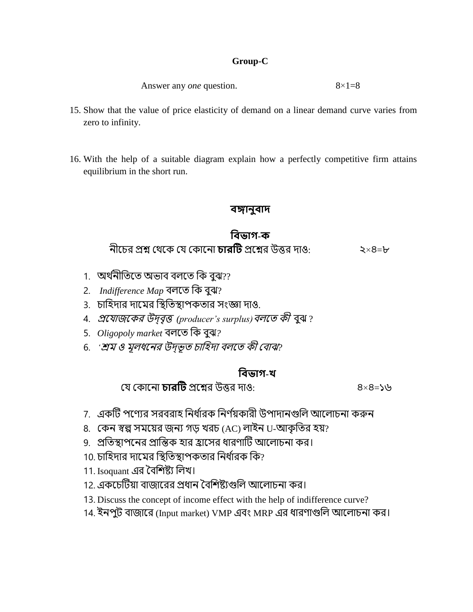### **Group-C**

Answer any *one* question. 8×1=8

- 15. Show that the value of price elasticity of demand on a linear demand curve varies from zero to infinity.
- 16. With the help of a suitable diagram explain how a perfectly competitive firm attains equilibrium in the short run.

### **বঙ্গানুবাদ**

## **ববভাগ-ক**

নীচের প্রশ্ন থেচে থে থেোচনো **চারটি** প্রচশ্নর উত্তর দোও: ২×৪=৮

- 1. অর্থনীতিতে অভাব বলতে কি বুঝ??
- 2. *Indifference Map* বলচি তে বুঝ?
- 3. েোতিদোর দোচের তিতিিোপেিোর সংজ্ঞো দোও.
- 4. প্রচেোজচের উদ্বৃত্ত *(producer's surplus)*বলচি েী বুঝ ?
- 5. *Oligopoly market* বলচি তে বুঝ*?*
- 6. *'শ্রম ও মূলধনের উদ্ভূত চাহিদা বলতে কী বোঝ*?

# **ববভাগ-খ**

থে থেোচনো **চারটি** প্রচশ্নর উত্তর দোও: ৪×৪=১৬

- 7. একটি পণ্যের সরবরাহ নির্ধারক নির্ণয়কারী উপাদানগুলি আলোচনা করুন
- 8. কেন স্বল্প সময়ের জন্য গড় খরচ (AC) লাইন U-আকৃতির হয়?
- 9. প্রতিস্থাপনের প্রান্তিক হার হ্রাসের ধারণাটি আলোচনা কর।
- 10. চাহিদার দামের স্থিতিস্থাপকতার নির্ধারক কি?
- 11. Isoquant এর বৈশিষ্ট্য লিখ।
- 12. এেচেটিয়ো বোজোচরর প্রধোন ববতিষ্ট্েগুতল আচলোেনো ের।
- 13. Discuss the concept of income effect with the help of indifference curve?
- 14. ইনপুি বোজোচর (Input market) VMP এবং MRP এর ধোরযোগুতল আচলোেনো ের।